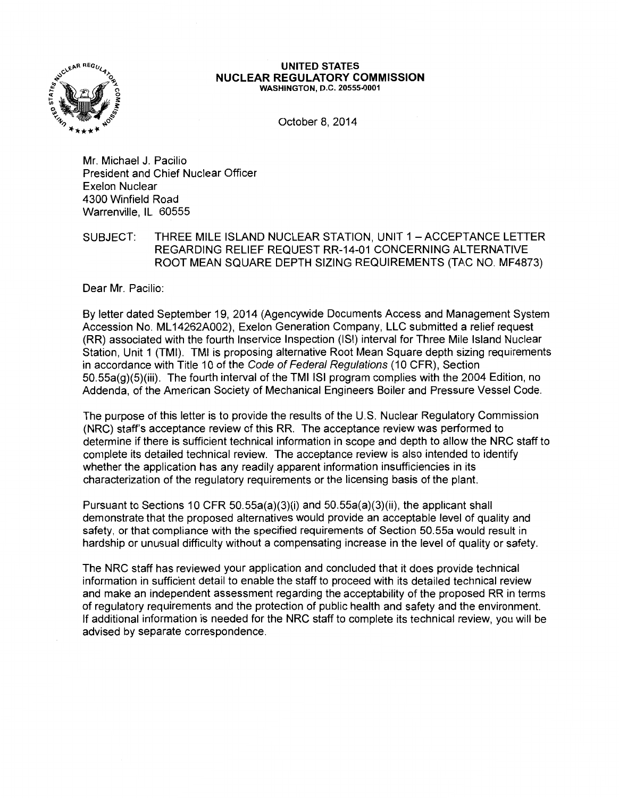

## **UNITED STATES NUCLEAR REGULATORY COMMISSION**  WASHINGTON, D.C. 20555-0001

October 8, 2014

Mr. Michael J. Pacilio President and Chief Nuclear Officer Exelon Nuclear 4300 Winfield Road Warrenville, IL 60555

SUBJECT: THREE MILE ISLAND NUCLEAR STATION, UNIT 1 - ACCEPTANCE LETTER REGARDING RELIEF REQUEST RR-14-01 CONCERNING ALTERNATIVE ROOT MEAN SQUARE DEPTH SIZING REQUIREMENTS (TAC NO. MF4873)

Dear Mr. Pacilio:

By letter dated September 19, 2014 (Agencywide Documents Access and Management System Accession No. ML 14262A002), Exelon Generation Company, LLC submitted a relief request (RR) associated with the fourth lnservice Inspection (lSI) interval for Three Mile Island Nuclear Station, Unit 1 (TMI). TMI is proposing alternative Root Mean Square depth sizing requirements in accordance with Title 10 of the Code of Federal Regulations (10 CFR), Section 50.55a(g)(5)(iii). The fourth interval of the TMI lSI program complies with the 2004 Edition, no Addenda, of the American Society of Mechanical Engineers Boiler and Pressure Vessel Code.

The purpose of this letter is to provide the results of the U.S. Nuclear Regulatory Commission (NRC) staff's acceptance review of this RR. The acceptance review was performed to determine if there is sufficient technical information in scope and depth to allow the NRC staff to complete its detailed technical review. The acceptance review is also intended to identify whether the application has any readily apparent information insufficiencies in its characterization of the regulatory requirements or the licensing basis of the plant.

Pursuant to Sections 10 CFR 50.55a(a)(3)(i) and 50.55a(a)(3)(ii), the applicant shall demonstrate that the proposed alternatives would provide an acceptable level of quality and safety, or that compliance with the specified requirements of Section 50.55a would result in hardship or unusual difficulty without a compensating increase in the level of quality or safety.

The NRC staff has reviewed your application and concluded that it does provide technical information in sufficient detail to enable the staff to proceed with its detailed technical review and make an independent assessment regarding the acceptability of the proposed RR in terms of regulatory requirements and the protection of public health and safety and the environment. If additional information is needed for the NRC staff to complete its technical review, you will be advised by separate correspondence.